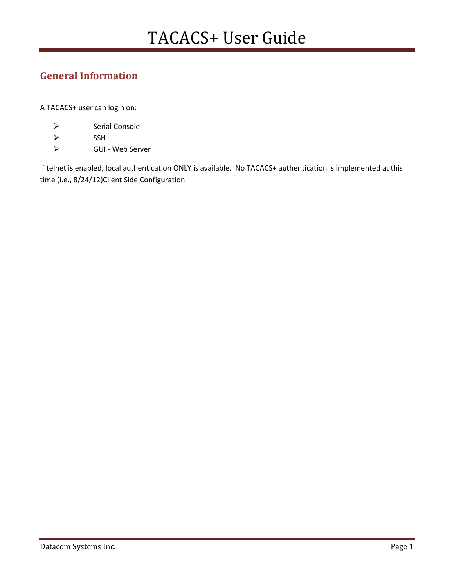# General Information

A TACACS+ user can login on:

- > Serial Console
- $\triangleright$  SSH
- GUI Web Server

If telnet is enabled, local authentication ONLY is available. No TACACS+ authentication is implemented at this time (i.e., 8/24/12)Client Side Configuration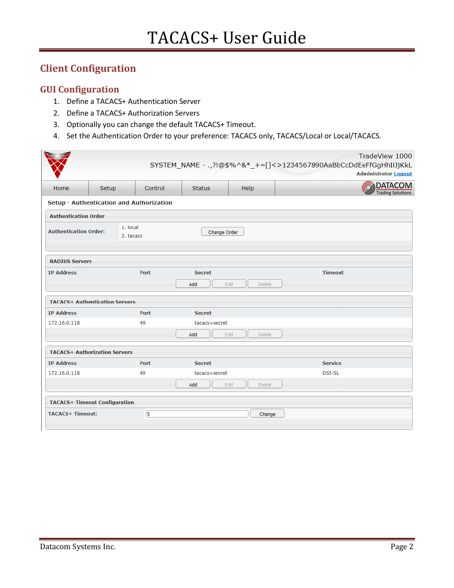# Client Configuration

## GUI Configuration

- 1. Define a TACACS+ Authentication Server Server
- 2. Define a TACACS+ Authorization Servers
- 3. Optionally you can change the default TACACS+ Timeout.
- 3. Optionally you can change the default TACACS+ Timeout.<br>4. Set the Authentication Order to your preference: TACACS only, TACACS/Local or Local/TACACS.

|                                                                       |       |                                          |               |                       | SYSTEM_NAME - ., ?!@\$%^&*_+=[]<>1234567890AaBbCcDdEeFfGgHhIiJjKkL | TradeView 1000<br><b>Administrator Logout</b> |  |  |
|-----------------------------------------------------------------------|-------|------------------------------------------|---------------|-----------------------|--------------------------------------------------------------------|-----------------------------------------------|--|--|
| Home                                                                  | Setup | Control                                  | <b>Status</b> | Help                  |                                                                    | <b>MOATACOM</b><br><b>Trading Solutions</b>   |  |  |
|                                                                       |       | Setup - Authentication and Authorization |               |                       |                                                                    |                                               |  |  |
| <b>Authentication Order</b>                                           |       |                                          |               |                       |                                                                    |                                               |  |  |
| 1. local<br><b>Authentication Order:</b><br>Change Order<br>2. tacacs |       |                                          |               |                       |                                                                    |                                               |  |  |
| <b>RADIUS Servers</b>                                                 |       |                                          |               |                       |                                                                    |                                               |  |  |
| <b>IP Address</b>                                                     |       | Port                                     | <b>Secret</b> |                       | <b>Timeout</b>                                                     |                                               |  |  |
|                                                                       |       |                                          | Add           | Edit<br><b>Delete</b> |                                                                    |                                               |  |  |
| <b>TACACS+ Authentication Servers</b>                                 |       |                                          |               |                       |                                                                    |                                               |  |  |
| <b>IP Address</b>                                                     |       | <b>Port</b>                              | <b>Secret</b> |                       |                                                                    |                                               |  |  |
| 172.16.0.118                                                          |       | 49                                       | tacacs+secret |                       |                                                                    |                                               |  |  |
|                                                                       |       |                                          | Add           | Edit<br><b>Delete</b> |                                                                    |                                               |  |  |
| <b>TACACS+ Authorization Servers</b>                                  |       |                                          |               |                       |                                                                    |                                               |  |  |
| <b>IP Address</b>                                                     |       | Port                                     | <b>Secret</b> |                       | <b>Service</b>                                                     |                                               |  |  |
| 172.16.0.118                                                          |       | 49                                       | tacacs+secret |                       | <b>DSI-SL</b>                                                      |                                               |  |  |
|                                                                       |       |                                          | Add           | Edit<br><b>Delete</b> |                                                                    |                                               |  |  |
| <b>TACACS+ Timeout Configuration</b>                                  |       |                                          |               |                       |                                                                    |                                               |  |  |
| <b>TACACS+ Timeout:</b>                                               |       | 5                                        |               | Change                |                                                                    |                                               |  |  |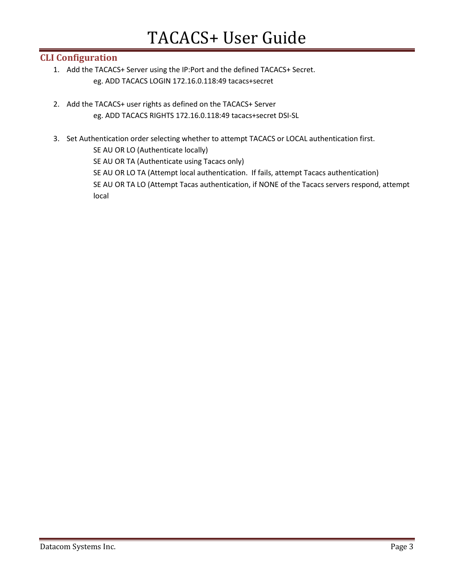## CLI Configuration

- 1. Add the TACACS+ Server using the IP:Port and the defined TACACS+ Secret. eg. ADD TACACS LOGIN 172.16.0.118:49 tacacs+secret
- 2. Add the TACACS+ user rights as defined on the TACACS+ Server eg. ADD TACACS RIGHTS 172.16.0.118:49 tacacs+secret DSI-SL
- 3. Set Authentication order selecting whether to attempt TACACS or LOCAL authentication first.

SE AU OR LO (Authenticate locally)

SE AU OR TA (Authenticate using Tacacs only)

SE AU OR LO TA (Attempt local authentication. If fails, attempt Tacacs authentication) SE AU OR TA LO (Attempt Tacas authentication, if NONE of the Tacacs servers respond, attempt local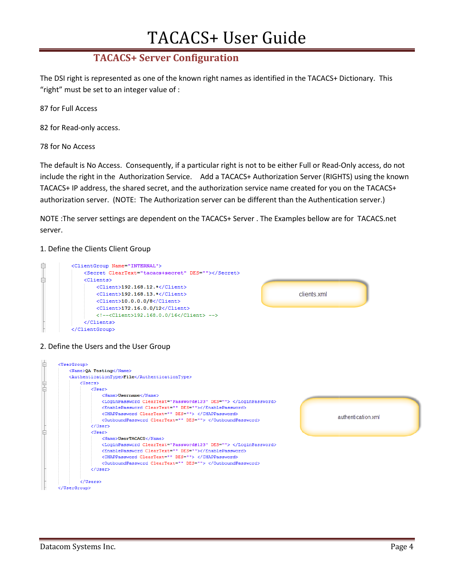# TACACS+ User Guide User Guide

# TACACS+ Server Configuration

The DSI right is represented as one of the known right names as identified in the TACACS+ Dictionary. This "right" must be set to an integer value of : "right" must be set to an integer value of :

87 for Full Access

82 for Read-only access.

78 for No Access

The default is No Access. Consequently, if a particular right is not to be either Full or Read-Only access, do not include the right in the Authorization Service. Add a TACACS+ Authorization Server (RIGHTS) using the known TACACS+ IP address, the shared secret, and the authorization service name created for you on the TACACS+<br>authorization server. (NOTE: The Authorization server can be different than the Authentication server.) authorization server. (NOTE: The Authorization server can be different than the Authentication server.) a TACACS+ Authorization Server (RIGHTS) using the known<br>prization service name created for you on the TACACS+<br>er can be different than the Authentication server.)<br>ACS+ Server . The Examples bellow are for TACACS.net

NOTE : The server settings are dependent on the TACACS+ Server . The Examples bellow are server.

### 1. Define the Clients Client Group



#### 2. Define the Users and the User Group

| 甴  | <usergroup></usergroup>                                          |                    |  |  |  |  |  |
|----|------------------------------------------------------------------|--------------------|--|--|--|--|--|
|    | <name>OA Testing</name>                                          |                    |  |  |  |  |  |
|    | <authenticationtype>File</authenticationtype>                    |                    |  |  |  |  |  |
|    | <users></users>                                                  |                    |  |  |  |  |  |
| 皇吉 | <user></user>                                                    |                    |  |  |  |  |  |
|    | <name>Username</name>                                            |                    |  |  |  |  |  |
|    | <loginpassword cleartext="Password#123" des=""> </loginpassword> |                    |  |  |  |  |  |
|    | <enablepassword cleartext="" des=""></enablepassword>            |                    |  |  |  |  |  |
|    | <chappassword cleartext="" des=""> </chappassword>               |                    |  |  |  |  |  |
|    | <outboundpassword cleartext="" des=""> </outboundpassword>       | authentication xml |  |  |  |  |  |
|    |                                                                  |                    |  |  |  |  |  |
|    | <user></user>                                                    |                    |  |  |  |  |  |
|    | <name>UserTACACS</name>                                          |                    |  |  |  |  |  |
|    | <loginpassword cleartext="Password#123" des=""> </loginpassword> |                    |  |  |  |  |  |
|    | <enablepassword cleartext="" des=""></enablepassword>            |                    |  |  |  |  |  |
|    | <chappassword cleartext="" des=""> </chappassword>               |                    |  |  |  |  |  |
|    | <outboundpassword cleartext="" des=""> </outboundpassword>       |                    |  |  |  |  |  |
|    |                                                                  |                    |  |  |  |  |  |
|    |                                                                  |                    |  |  |  |  |  |
|    |                                                                  |                    |  |  |  |  |  |
|    | //HearCrouns                                                     |                    |  |  |  |  |  |